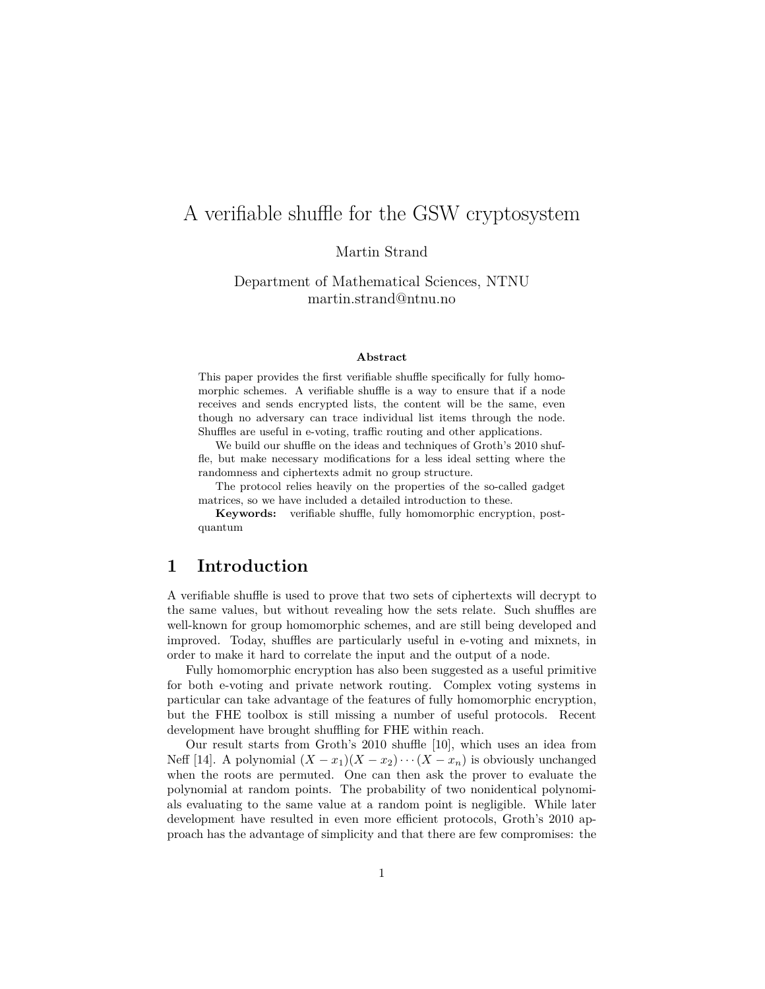# A verifiable shuffle for the GSW cryptosystem

Martin Strand

Department of Mathematical Sciences, NTNU martin.strand@ntnu.no

#### **Abstract**

This paper provides the first verifiable shuffle specifically for fully homomorphic schemes. A verifiable shuffle is a way to ensure that if a node receives and sends encrypted lists, the content will be the same, even though no adversary can trace individual list items through the node. Shuffles are useful in e-voting, traffic routing and other applications.

We build our shuffle on the ideas and techniques of Groth's 2010 shuffle, but make necessary modifications for a less ideal setting where the randomness and ciphertexts admit no group structure.

The protocol relies heavily on the properties of the so-called gadget matrices, so we have included a detailed introduction to these.

**Keywords:** verifiable shuffle, fully homomorphic encryption, postquantum

## **1 Introduction**

A verifiable shuffle is used to prove that two sets of ciphertexts will decrypt to the same values, but without revealing how the sets relate. Such shuffles are well-known for group homomorphic schemes, and are still being developed and improved. Today, shuffles are particularly useful in e-voting and mixnets, in order to make it hard to correlate the input and the output of a node.

Fully homomorphic encryption has also been suggested as a useful primitive for both e-voting and private network routing. Complex voting systems in particular can take advantage of the features of fully homomorphic encryption, but the FHE toolbox is still missing a number of useful protocols. Recent development have brought shuffling for FHE within reach.

Our result starts from Groth's 2010 shuffle [10], which uses an idea from Neff [14]. A polynomial  $(X - x_1)(X - x_2) \cdots (X - x_n)$  is obviously unchanged when the roots are permuted. One can then ask the prover to evaluate the polynomial at random points. The probability of two nonidentical polynomials evaluating to the same value at a random point is negligible. While later development have resulted in even more efficient protocols, Groth's 2010 approach has the advantage of simplicity and that there are few compromises: the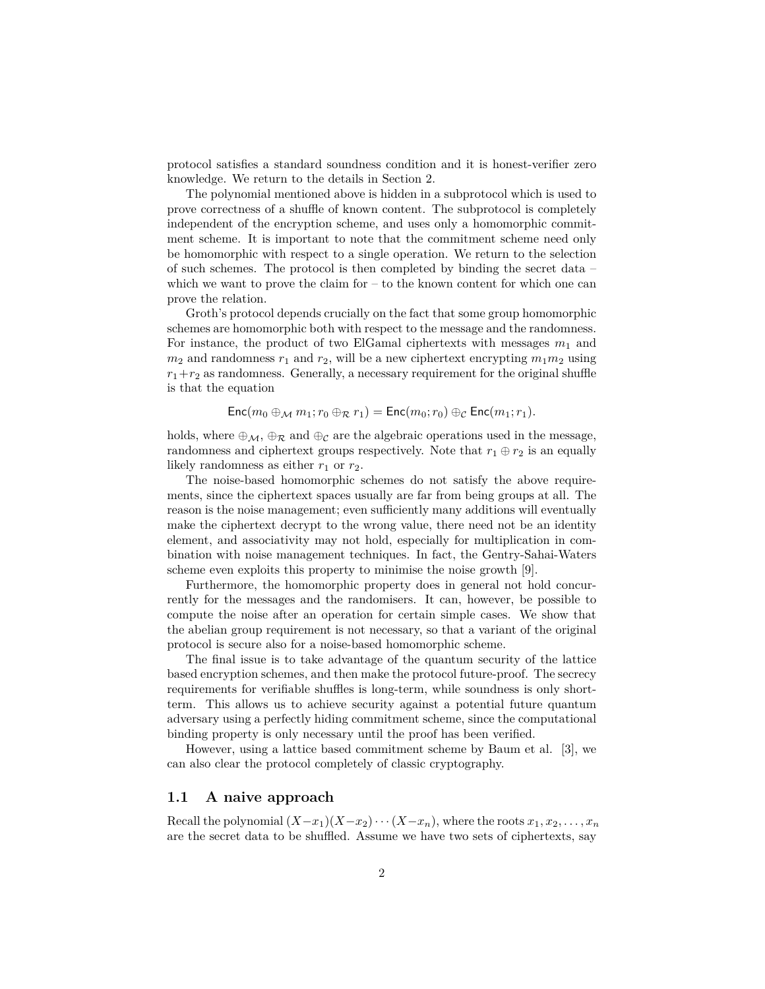protocol satisfies a standard soundness condition and it is honest-verifier zero knowledge. We return to the details in Section 2.

The polynomial mentioned above is hidden in a subprotocol which is used to prove correctness of a shuffle of known content. The subprotocol is completely independent of the encryption scheme, and uses only a homomorphic commitment scheme. It is important to note that the commitment scheme need only be homomorphic with respect to a single operation. We return to the selection of such schemes. The protocol is then completed by binding the secret data – which we want to prove the claim for  $-$  to the known content for which one can prove the relation.

Groth's protocol depends crucially on the fact that some group homomorphic schemes are homomorphic both with respect to the message and the randomness. For instance, the product of two ElGamal ciphertexts with messages  $m_1$  and  $m_2$  and randomness  $r_1$  and  $r_2$ , will be a new ciphertext encrypting  $m_1m_2$  using  $r_1+r_2$  as randomness. Generally, a necessary requirement for the original shuffle is that the equation

$$
\mathsf{Enc}(m_0 \oplus_{\mathcal{M}} m_1; r_0 \oplus_{\mathcal{R}} r_1) = \mathsf{Enc}(m_0; r_0) \oplus_{\mathcal{C}} \mathsf{Enc}(m_1; r_1).
$$

holds, where  $\oplus_{\mathcal{M}}$ ,  $\oplus_{\mathcal{R}}$  and  $\oplus_{\mathcal{C}}$  are the algebraic operations used in the message, randomness and ciphertext groups respectively. Note that  $r_1 \oplus r_2$  is an equally likely randomness as either  $r_1$  or  $r_2$ .

The noise-based homomorphic schemes do not satisfy the above requirements, since the ciphertext spaces usually are far from being groups at all. The reason is the noise management; even sufficiently many additions will eventually make the ciphertext decrypt to the wrong value, there need not be an identity element, and associativity may not hold, especially for multiplication in combination with noise management techniques. In fact, the Gentry-Sahai-Waters scheme even exploits this property to minimise the noise growth [9].

Furthermore, the homomorphic property does in general not hold concurrently for the messages and the randomisers. It can, however, be possible to compute the noise after an operation for certain simple cases. We show that the abelian group requirement is not necessary, so that a variant of the original protocol is secure also for a noise-based homomorphic scheme.

The final issue is to take advantage of the quantum security of the lattice based encryption schemes, and then make the protocol future-proof. The secrecy requirements for verifiable shuffles is long-term, while soundness is only shortterm. This allows us to achieve security against a potential future quantum adversary using a perfectly hiding commitment scheme, since the computational binding property is only necessary until the proof has been verified.

However, using a lattice based commitment scheme by Baum et al. [3], we can also clear the protocol completely of classic cryptography.

#### **1.1 A naive approach**

Recall the polynomial  $(X-x_1)(X-x_2)\cdots(X-x_n)$ , where the roots  $x_1, x_2, \ldots, x_n$ are the secret data to be shuffled. Assume we have two sets of ciphertexts, say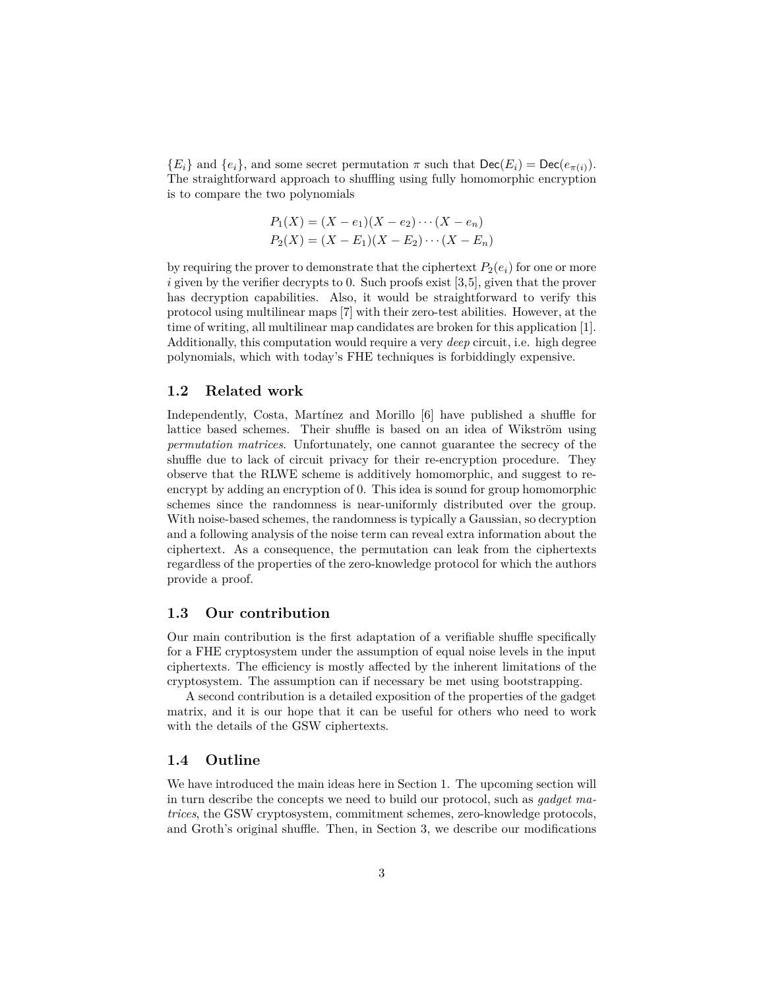${E_i}$  and  ${e_i}$ , and some secret permutation  $\pi$  such that  $\text{Dec}(E_i) = \text{Dec}(e_{\pi(i)})$ . The straightforward approach to shuffling using fully homomorphic encryption is to compare the two polynomials

$$
P_1(X) = (X - e_1)(X - e_2) \cdots (X - e_n)
$$
  
\n
$$
P_2(X) = (X - E_1)(X - E_2) \cdots (X - E_n)
$$

by requiring the prover to demonstrate that the ciphertext  $P_2(e_i)$  for one or more *i* given by the verifier decrypts to 0. Such proofs exist [3,5], given that the prover has decryption capabilities. Also, it would be straightforward to verify this protocol using multilinear maps [7] with their zero-test abilities. However, at the time of writing, all multilinear map candidates are broken for this application [1]. Additionally, this computation would require a very *deep* circuit, i.e. high degree polynomials, which with today's FHE techniques is forbiddingly expensive.

### **1.2 Related work**

Independently, Costa, Martínez and Morillo [6] have published a shuffle for lattice based schemes. Their shuffle is based on an idea of Wikström using *permutation matrices*. Unfortunately, one cannot guarantee the secrecy of the shuffle due to lack of circuit privacy for their re-encryption procedure. They observe that the RLWE scheme is additively homomorphic, and suggest to reencrypt by adding an encryption of 0. This idea is sound for group homomorphic schemes since the randomness is near-uniformly distributed over the group. With noise-based schemes, the randomness is typically a Gaussian, so decryption and a following analysis of the noise term can reveal extra information about the ciphertext. As a consequence, the permutation can leak from the ciphertexts regardless of the properties of the zero-knowledge protocol for which the authors provide a proof.

#### **1.3 Our contribution**

Our main contribution is the first adaptation of a verifiable shuffle specifically for a FHE cryptosystem under the assumption of equal noise levels in the input ciphertexts. The efficiency is mostly affected by the inherent limitations of the cryptosystem. The assumption can if necessary be met using bootstrapping.

A second contribution is a detailed exposition of the properties of the gadget matrix, and it is our hope that it can be useful for others who need to work with the details of the GSW ciphertexts.

### **1.4 Outline**

We have introduced the main ideas here in Section 1. The upcoming section will in turn describe the concepts we need to build our protocol, such as *gadget matrices*, the GSW cryptosystem, commitment schemes, zero-knowledge protocols, and Groth's original shuffle. Then, in Section 3, we describe our modifications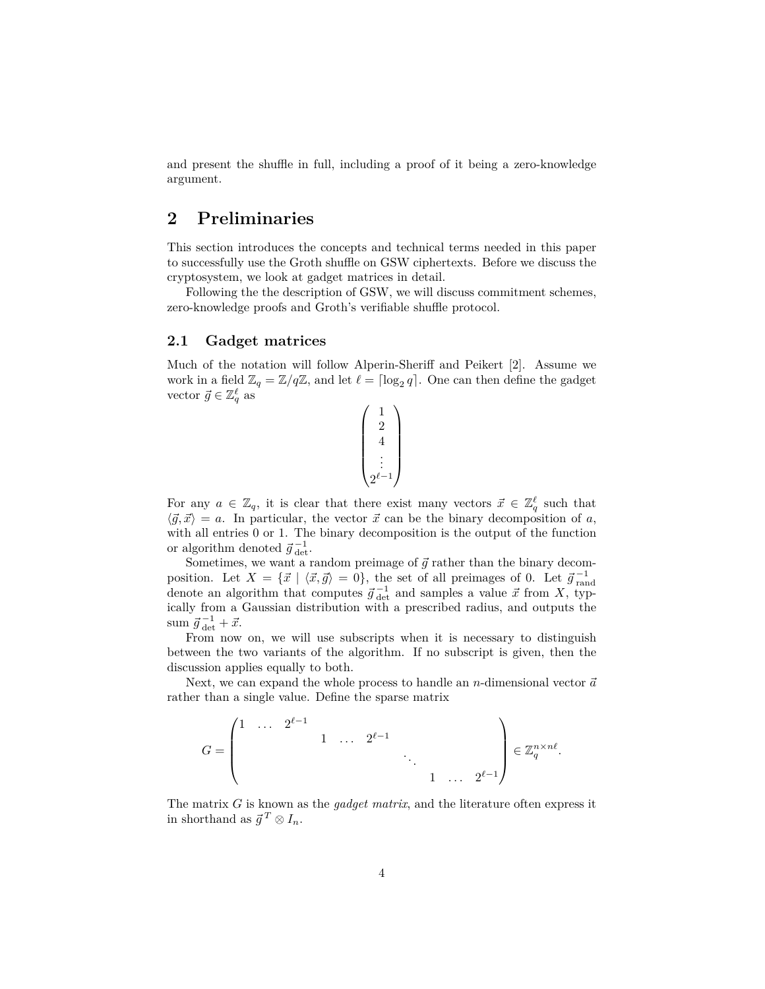and present the shuffle in full, including a proof of it being a zero-knowledge argument.

## **2 Preliminaries**

This section introduces the concepts and technical terms needed in this paper to successfully use the Groth shuffle on GSW ciphertexts. Before we discuss the cryptosystem, we look at gadget matrices in detail.

Following the the description of GSW, we will discuss commitment schemes, zero-knowledge proofs and Groth's verifiable shuffle protocol.

### **2.1 Gadget matrices**

Much of the notation will follow Alperin-Sheriff and Peikert [2]. Assume we work in a field  $\mathbb{Z}_q = \mathbb{Z}/q\mathbb{Z}$ , and let  $\ell = \lceil \log_2 q \rceil$ . One can then define the gadget vector  $\vec{g} \in \mathbb{Z}_q^{\ell}$  as



For any  $a \in \mathbb{Z}_q$ , it is clear that there exist many vectors  $\vec{x} \in \mathbb{Z}_q^{\ell}$  such that  $\langle \vec{g}, \vec{x} \rangle = a$ . In particular, the vector  $\vec{x}$  can be the binary decomposition of *a*, with all entries 0 or 1. The binary decomposition is the output of the function or algorithm denoted  $\vec{g}_{\text{det}}^{-1}$ .

Sometimes, we want a random preimage of  $\vec{g}$  rather than the binary decomposition. Let  $X = \{\vec{x} \mid \langle \vec{x}, \vec{g} \rangle = 0\}$ , the set of all preimages of 0. Let  $\vec{g}^{-1}_{\text{rand}}$ denote an algorithm that computes  $\vec{g}_{det}^{-1}$  and samples a value  $\vec{x}$  from *X*, typically from a Gaussian distribution with a prescribed radius, and outputs the  $\text{sum } \vec{g}^{-1}_{\det} + \vec{x}.$ 

From now on, we will use subscripts when it is necessary to distinguish between the two variants of the algorithm. If no subscript is given, then the discussion applies equally to both.

Next, we can expand the whole process to handle an *n*-dimensional vector  $\vec{a}$ rather than a single value. Define the sparse matrix

$$
G = \begin{pmatrix} 1 & \cdots & 2^{\ell-1} & & & \\ & & 1 & \cdots & 2^{\ell-1} & & \\ & & & \ddots & & \\ & & & & 1 & \cdots & 2^{\ell-1} \end{pmatrix} \in \mathbb{Z}_q^{n \times n\ell}.
$$

The matrix *G* is known as the *gadget matrix*, and the literature often express it in shorthand as  $\vec{g}^T \otimes I_n$ .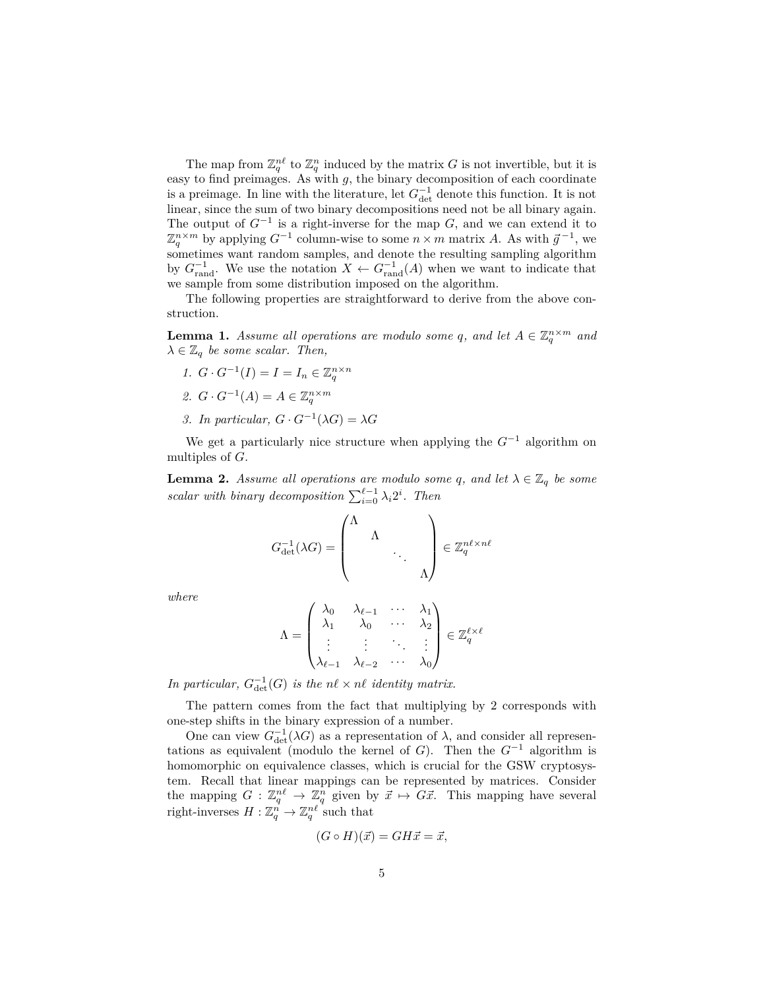The map from  $\mathbb{Z}_q^{n\ell}$  to  $\mathbb{Z}_q^n$  induced by the matrix *G* is not invertible, but it is easy to find preimages. As with *g*, the binary decomposition of each coordinate is a preimage. In line with the literature, let  $G_{\text{det}}^{-1}$  denote this function. It is not linear, since the sum of two binary decompositions need not be all binary again. The output of  $G^{-1}$  is a right-inverse for the map  $G$ , and we can extend it to  $\mathbb{Z}_q^{n \times m}$  by applying  $G^{-1}$  column-wise to some  $n \times m$  matrix *A*. As with  $\vec{g}^{-1}$ , we sometimes want random samples, and denote the resulting sampling algorithm by  $G_{\text{rand}}^{-1}$ . We use the notation  $X \leftarrow G_{\text{rand}}^{-1}(A)$  when we want to indicate that we sample from some distribution imposed on the algorithm.

The following properties are straightforward to derive from the above construction.

**Lemma 1.** *Assume all operations are modulo some q, and let*  $A \in \mathbb{Z}_q^{n \times m}$  *and*  $\lambda \in \mathbb{Z}_q$  *be some scalar. Then,* 

*1.*  $G \cdot G^{-1}(I) = I = I_n \in \mathbb{Z}_q^{n \times n}$ 2.  $G \cdot G^{-1}(A) = A \in \mathbb{Z}_q^{n \times m}$ *3. In particular, G* · *G*<sup>−1</sup>( $λ$ *G*) =  $λ$ *G* 

We get a particularly nice structure when applying the *G*<sup>−</sup><sup>1</sup> algorithm on multiples of *G*.

**Lemma 2.** *Assume all operations are modulo some q, and let*  $\lambda \in \mathbb{Z}_q$  *be some scalar with binary decomposition*  $\sum_{i=0}^{\ell-1} \lambda_i 2^i$ . Then

$$
G_{\det}^{-1}(\lambda G) = \begin{pmatrix} \Lambda & & & \\ & \Lambda & & \\ & & \ddots & \\ & & & \Lambda \end{pmatrix} \in \mathbb{Z}_q^{n\ell \times n\ell}
$$

*where*

$$
\Lambda = \begin{pmatrix} \lambda_0 & \lambda_{\ell-1} & \cdots & \lambda_1 \\ \lambda_1 & \lambda_0 & \cdots & \lambda_2 \\ \vdots & \vdots & \ddots & \vdots \\ \lambda_{\ell-1} & \lambda_{\ell-2} & \cdots & \lambda_0 \end{pmatrix} \in \mathbb{Z}_q^{\ell \times \ell}
$$

*In particular,*  $G_{\det}^{-1}(G)$  *is the*  $n\ell \times n\ell$  *identity matrix.* 

The pattern comes from the fact that multiplying by 2 corresponds with one-step shifts in the binary expression of a number.

One can view  $G_{\det}^{-1}(\lambda G)$  as a representation of  $\lambda$ , and consider all representations as equivalent (modulo the kernel of *G*). Then the  $G^{-1}$  algorithm is homomorphic on equivalence classes, which is crucial for the GSW cryptosystem. Recall that linear mappings can be represented by matrices. Consider the mapping  $G: \mathbb{Z}_q^n \to \mathbb{Z}_q^n$  given by  $\vec{x} \mapsto \vec{G}\vec{x}$ . This mapping have several right-inverses  $H: \mathbb{Z}_q^n \to \mathbb{Z}_q^{n\ell}$  such that

$$
(G \circ H)(\vec{x}) = GH\vec{x} = \vec{x},
$$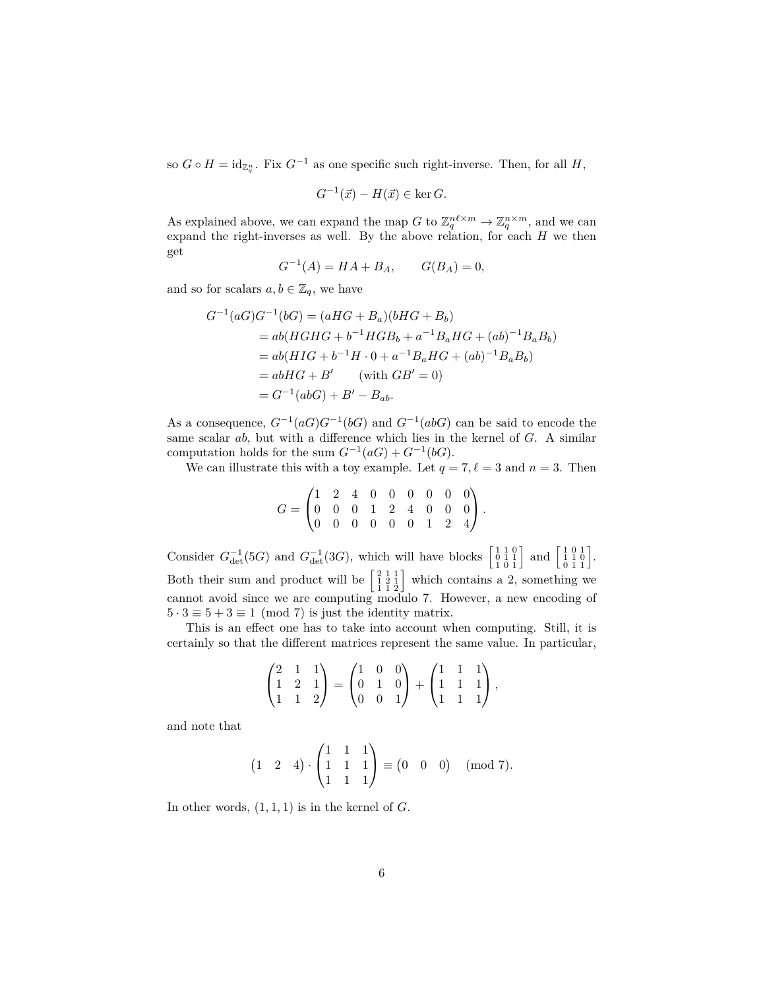so  $G \circ H = \mathrm{id}_{\mathbb{Z}_q^n}$ . Fix  $G^{-1}$  as one specific such right-inverse. Then, for all  $H$ ,

$$
G^{-1}(\vec{x}) - H(\vec{x}) \in \ker G.
$$

As explained above, we can expand the map *G* to  $\mathbb{Z}_q^{n\ell \times m} \to \mathbb{Z}_q^{n \times m}$ , and we can expand the right-inverses as well. By the above relation, for each *H* we then get

$$
G^{-1}(A) = HA + B_A, \qquad G(B_A) = 0,
$$

and so for scalars  $a, b \in \mathbb{Z}_q$ , we have

$$
G^{-1}(aG)G^{-1}(bG) = (aHG + B_a)(bHG + B_b)
$$
  
= ab(HGHG + b<sup>-1</sup>HGB<sub>b</sub> + a<sup>-1</sup>B<sub>a</sub>HG + (ab)<sup>-1</sup>B<sub>a</sub>B<sub>b</sub>)  
= ab(HIG + b<sup>-1</sup>H · 0 + a<sup>-1</sup>B<sub>a</sub>HG + (ab)<sup>-1</sup>B<sub>a</sub>B<sub>b</sub>)  
= abHG + B' (with GB' = 0)  
= G<sup>-1</sup>(abG) + B' - B<sub>ab</sub>.

As a consequence,  $G^{-1}(aG)G^{-1}(bG)$  and  $G^{-1}(abG)$  can be said to encode the same scalar *ab*, but with a difference which lies in the kernel of *G*. A similar computation holds for the sum  $G^{-1}(aG) + G^{-1}(bG)$ .

We can illustrate this with a toy example. Let  $q = 7, \ell = 3$  and  $n = 3$ . Then

$$
G = \begin{pmatrix} 1 & 2 & 4 & 0 & 0 & 0 & 0 & 0 & 0 \\ 0 & 0 & 0 & 1 & 2 & 4 & 0 & 0 & 0 \\ 0 & 0 & 0 & 0 & 0 & 0 & 1 & 2 & 4 \end{pmatrix}.
$$

Consider  $G_{\text{det}}^{-1}(5G)$  and  $G_{\text{det}}^{-1}(3G)$ , which will have blocks  $\begin{bmatrix} 1 & 1 & 0 \\ 0 & 1 & 1 \\ 1 & 0 & 1 \end{bmatrix}$  and  $\begin{bmatrix} 1 & 0 & 1 \\ 0 & 1 & 1 \\ 0 & 1 & 1 \end{bmatrix}$ . Both their sum and product will be  $\begin{bmatrix} 2 & 1 & 1 \\ 1 & 2 & 1 \\ 1 & 1 & 2 \end{bmatrix}$  which contains a 2, something we cannot avoid since we are computing modulo 7. However, a new encoding of  $5 \cdot 3 \equiv 5 + 3 \equiv 1 \pmod{7}$  is just the identity matrix.

This is an effect one has to take into account when computing. Still, it is certainly so that the different matrices represent the same value. In particular,

$$
\begin{pmatrix} 2 & 1 & 1 \ 1 & 2 & 1 \ 1 & 1 & 2 \end{pmatrix} = \begin{pmatrix} 1 & 0 & 0 \ 0 & 1 & 0 \ 0 & 0 & 1 \end{pmatrix} + \begin{pmatrix} 1 & 1 & 1 \ 1 & 1 & 1 \ 1 & 1 & 1 \end{pmatrix},
$$

and note that

$$
\begin{pmatrix} 1 & 2 & 4 \end{pmatrix} \cdot \begin{pmatrix} 1 & 1 & 1 \\ 1 & 1 & 1 \\ 1 & 1 & 1 \end{pmatrix} \equiv \begin{pmatrix} 0 & 0 & 0 \end{pmatrix} \pmod{7}.
$$

In other words,  $(1, 1, 1)$  is in the kernel of  $G$ .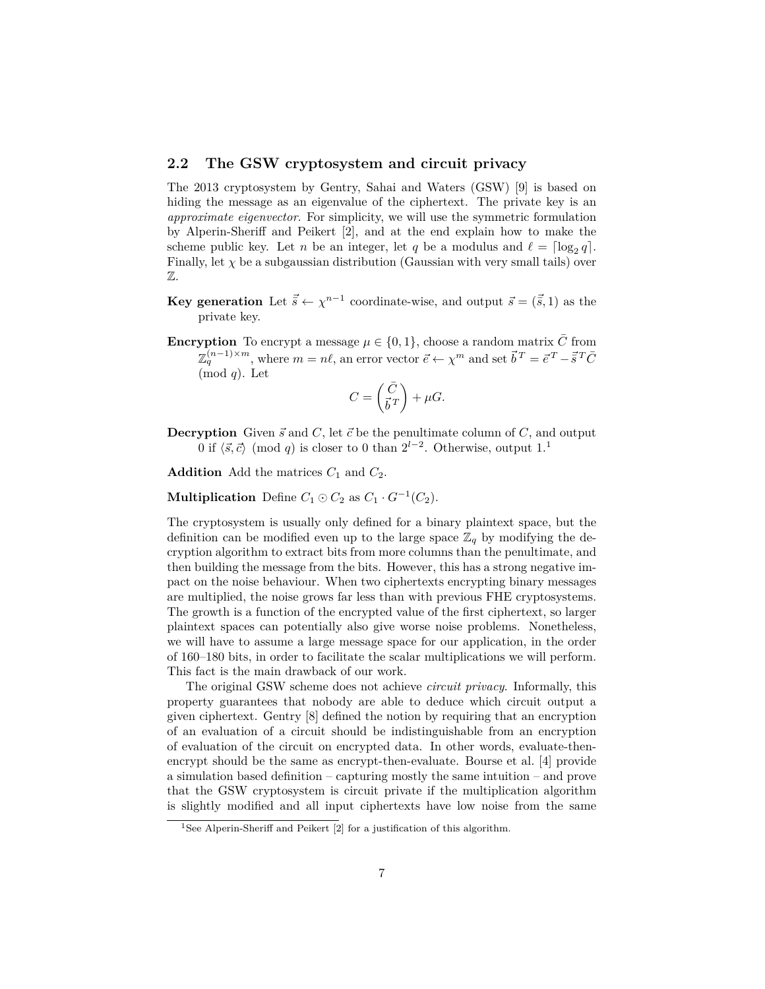### **2.2 The GSW cryptosystem and circuit privacy**

The 2013 cryptosystem by Gentry, Sahai and Waters (GSW) [9] is based on hiding the message as an eigenvalue of the ciphertext. The private key is an *approximate eigenvector*. For simplicity, we will use the symmetric formulation by Alperin-Sheriff and Peikert [2], and at the end explain how to make the scheme public key. Let *n* be an integer, let *q* be a modulus and  $\ell = \lceil \log_2 q \rceil$ . Finally, let  $\chi$  be a subgaussian distribution (Gaussian with very small tails) over Z.

- **Key generation** Let  $\vec{s} \leftarrow \chi^{n-1}$  coordinate-wise, and output  $\vec{s} = (\vec{s}, 1)$  as the private key.
- **Encryption** To encrypt a message  $\mu \in \{0, 1\}$ , choose a random matrix  $\overline{C}$  from  $\mathbb{Z}_q^{(n-1)\times m}$ , where  $m = n\ell$ , an error vector  $\vec{e} \leftarrow \chi^m$  and set  $\vec{b}^T = \vec{e}^T - \vec{s}^T \vec{C}$ (mod *q*). Let

$$
C = \begin{pmatrix} \bar{C} \\ \vec{b}^{\,T} \end{pmatrix} + \mu G.
$$

**Decryption** Given  $\vec{s}$  and  $C$ , let  $\vec{c}$  be the penultimate column of  $C$ , and output 0 if  $\langle \vec{s}, \vec{c} \rangle$  (mod *q*) is closer to 0 than  $2^{l-2}$ . Otherwise, output 1.<sup>1</sup>

**Addition** Add the matrices  $C_1$  and  $C_2$ .

**Multiplication** Define  $C_1 \odot C_2$  as  $C_1 \cdot G^{-1}(C_2)$ .

The cryptosystem is usually only defined for a binary plaintext space, but the definition can be modified even up to the large space  $\mathbb{Z}_q$  by modifying the decryption algorithm to extract bits from more columns than the penultimate, and then building the message from the bits. However, this has a strong negative impact on the noise behaviour. When two ciphertexts encrypting binary messages are multiplied, the noise grows far less than with previous FHE cryptosystems. The growth is a function of the encrypted value of the first ciphertext, so larger plaintext spaces can potentially also give worse noise problems. Nonetheless, we will have to assume a large message space for our application, in the order of 160–180 bits, in order to facilitate the scalar multiplications we will perform. This fact is the main drawback of our work.

The original GSW scheme does not achieve *circuit privacy*. Informally, this property guarantees that nobody are able to deduce which circuit output a given ciphertext. Gentry [8] defined the notion by requiring that an encryption of an evaluation of a circuit should be indistinguishable from an encryption of evaluation of the circuit on encrypted data. In other words, evaluate-thenencrypt should be the same as encrypt-then-evaluate. Bourse et al. [4] provide a simulation based definition – capturing mostly the same intuition – and prove that the GSW cryptosystem is circuit private if the multiplication algorithm is slightly modified and all input ciphertexts have low noise from the same

<sup>&</sup>lt;sup>1</sup>See Alperin-Sheriff and Peikert [2] for a justification of this algorithm.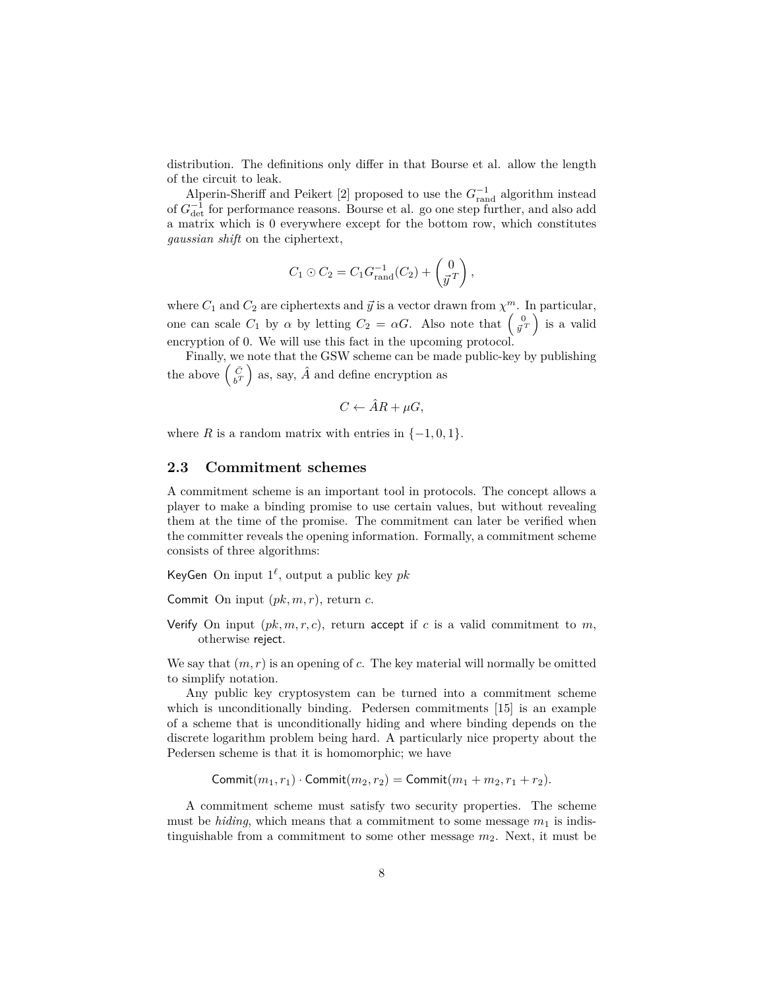distribution. The definitions only differ in that Bourse et al. allow the length of the circuit to leak.

Alperin-Sheriff and Peikert [2] proposed to use the  $G_{\text{rand}}^{-1}$  algorithm instead of  $G_{\text{det}}^{-1}$  for performance reasons. Bourse et al. go one step further, and also add a matrix which is 0 everywhere except for the bottom row, which constitutes *gaussian shift* on the ciphertext,

$$
C_1 \odot C_2 = C_1 G_{\text{rand}}^{-1}(C_2) + \begin{pmatrix} 0 \\ \vec{y}^T \end{pmatrix},
$$

where  $C_1$  and  $C_2$  are ciphertexts and  $\vec{y}$  is a vector drawn from  $\chi^m$ . In particular, one can scale  $C_1$  by  $\alpha$  by letting  $C_2 = \alpha G$ . Also note that  $\begin{pmatrix} 0 \\ \bar{y}^T \end{pmatrix}$  is a valid encryption of 0. We will use this fact in the upcoming protocol.

Finally, we note that the GSW scheme can be made public-key by publishing the above  $\begin{pmatrix} \bar{C} \\ b^T \end{pmatrix}$  as, say,  $\hat{A}$  and define encryption as

$$
C \leftarrow \hat{A}R + \mu G,
$$

where *R* is a random matrix with entries in  $\{-1, 0, 1\}$ .

#### **2.3 Commitment schemes**

A commitment scheme is an important tool in protocols. The concept allows a player to make a binding promise to use certain values, but without revealing them at the time of the promise. The commitment can later be verified when the committer reveals the opening information. Formally, a commitment scheme consists of three algorithms:

KeyGen On input  $1^{\ell}$ , output a public key  $pk$ 

Commit On input (*pk, m, r*), return *c*.

Verify On input  $(pk, m, r, c)$ , return accept if *c* is a valid commitment to *m*, otherwise reject.

We say that  $(m, r)$  is an opening of  $c$ . The key material will normally be omitted to simplify notation.

Any public key cryptosystem can be turned into a commitment scheme which is unconditionally binding. Pedersen commitments [15] is an example of a scheme that is unconditionally hiding and where binding depends on the discrete logarithm problem being hard. A particularly nice property about the Pedersen scheme is that it is homomorphic; we have

Commit $(m_1, r_1)$  · Commit $(m_2, r_2)$  = Commit $(m_1 + m_2, r_1 + r_2)$ .

A commitment scheme must satisfy two security properties. The scheme must be *hiding*, which means that a commitment to some message  $m_1$  is indistinguishable from a commitment to some other message *m*2. Next, it must be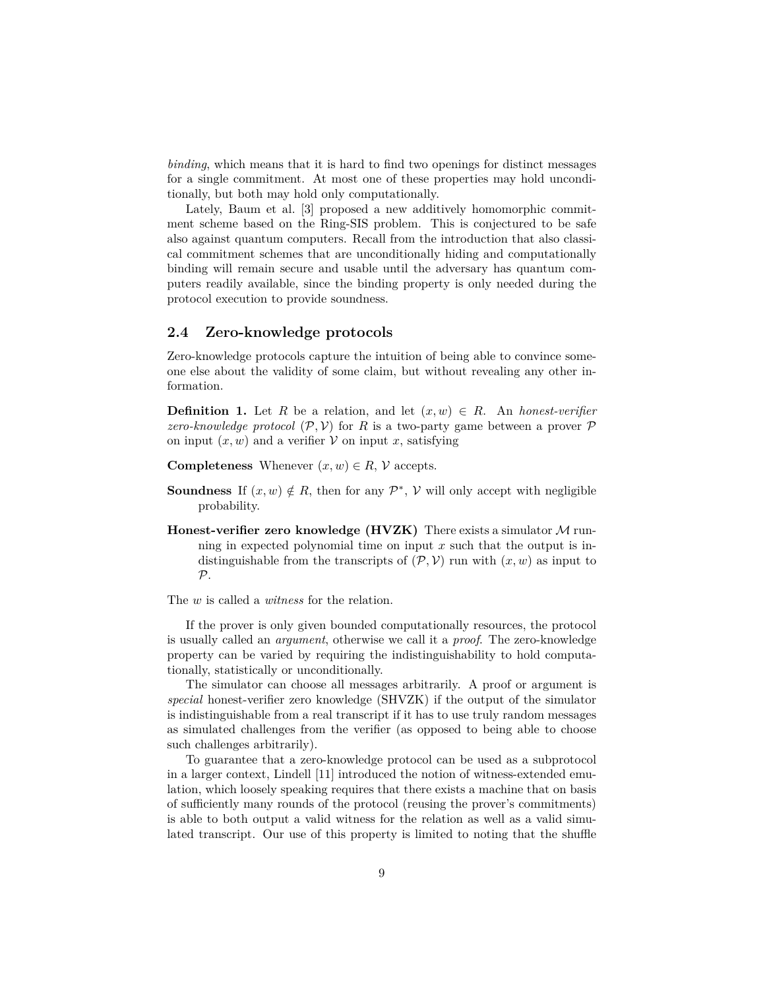*binding*, which means that it is hard to find two openings for distinct messages for a single commitment. At most one of these properties may hold unconditionally, but both may hold only computationally.

Lately, Baum et al. [3] proposed a new additively homomorphic commitment scheme based on the Ring-SIS problem. This is conjectured to be safe also against quantum computers. Recall from the introduction that also classical commitment schemes that are unconditionally hiding and computationally binding will remain secure and usable until the adversary has quantum computers readily available, since the binding property is only needed during the protocol execution to provide soundness.

### **2.4 Zero-knowledge protocols**

Zero-knowledge protocols capture the intuition of being able to convince someone else about the validity of some claim, but without revealing any other information.

**Definition 1.** Let *R* be a relation, and let  $(x, w) \in R$ . An *honest-verifier zero-knowledge protocol*  $(\mathcal{P}, \mathcal{V})$  for *R* is a two-party game between a prover  $\mathcal{P}$ on input  $(x, w)$  and a verifier  $V$  on input x, satisfying

- **Completeness** Whenever  $(x, w) \in R$ ,  $\mathcal{V}$  accepts.
- **Soundness** If  $(x, w) \notin R$ , then for any  $\mathcal{P}^*$ ,  $\mathcal{V}$  will only accept with negligible probability.
- **Honest-verifier zero knowledge (HVZK)** There exists a simulator M running in expected polynomial time on input *x* such that the output is indistinguishable from the transcripts of  $(\mathcal{P}, \mathcal{V})$  run with  $(x, w)$  as input to  $\mathcal{P}$ .

The *w* is called a *witness* for the relation.

If the prover is only given bounded computationally resources, the protocol is usually called an *argument*, otherwise we call it a *proof*. The zero-knowledge property can be varied by requiring the indistinguishability to hold computationally, statistically or unconditionally.

The simulator can choose all messages arbitrarily. A proof or argument is *special* honest-verifier zero knowledge (SHVZK) if the output of the simulator is indistinguishable from a real transcript if it has to use truly random messages as simulated challenges from the verifier (as opposed to being able to choose such challenges arbitrarily).

To guarantee that a zero-knowledge protocol can be used as a subprotocol in a larger context, Lindell [11] introduced the notion of witness-extended emulation, which loosely speaking requires that there exists a machine that on basis of sufficiently many rounds of the protocol (reusing the prover's commitments) is able to both output a valid witness for the relation as well as a valid simulated transcript. Our use of this property is limited to noting that the shuffle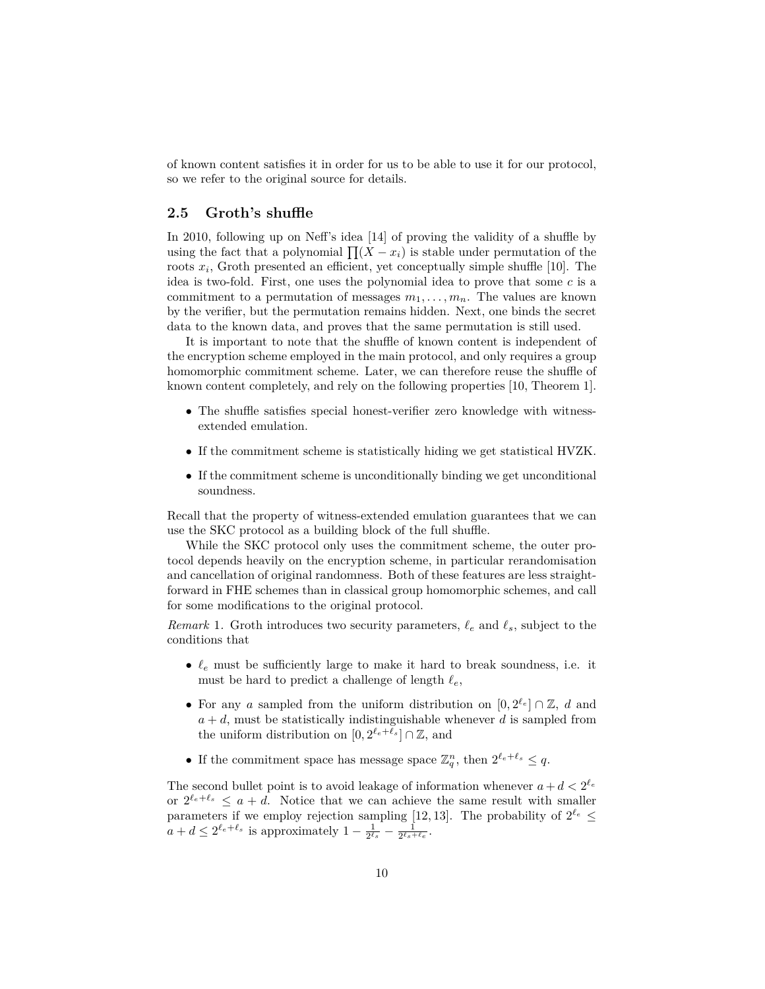of known content satisfies it in order for us to be able to use it for our protocol, so we refer to the original source for details.

## **2.5 Groth's shuffle**

In 2010, following up on Neff's idea [14] of proving the validity of a shuffle by using the fact that a polynomial  $\prod(X - x_i)$  is stable under permutation of the roots  $x_i$ , Groth presented an efficient, yet conceptually simple shuffle [10]. The idea is two-fold. First, one uses the polynomial idea to prove that some *c* is a commitment to a permutation of messages  $m_1, \ldots, m_n$ . The values are known by the verifier, but the permutation remains hidden. Next, one binds the secret data to the known data, and proves that the same permutation is still used.

It is important to note that the shuffle of known content is independent of the encryption scheme employed in the main protocol, and only requires a group homomorphic commitment scheme. Later, we can therefore reuse the shuffle of known content completely, and rely on the following properties [10, Theorem 1].

- The shuffle satisfies special honest-verifier zero knowledge with witnessextended emulation.
- If the commitment scheme is statistically hiding we get statistical HVZK.
- If the commitment scheme is unconditionally binding we get unconditional soundness.

Recall that the property of witness-extended emulation guarantees that we can use the SKC protocol as a building block of the full shuffle.

While the SKC protocol only uses the commitment scheme, the outer protocol depends heavily on the encryption scheme, in particular rerandomisation and cancellation of original randomness. Both of these features are less straightforward in FHE schemes than in classical group homomorphic schemes, and call for some modifications to the original protocol.

*Remark* 1. Groth introduces two security parameters,  $\ell_e$  and  $\ell_s$ , subject to the conditions that

- $\ell_e$  must be sufficiently large to make it hard to break soundness, i.e. it must be hard to predict a challenge of length  $\ell_e$ ,
- For any *a* sampled from the uniform distribution on  $[0, 2^{\ell_e}] \cap \mathbb{Z}$ , *d* and  $a + d$ , must be statistically indistinguishable whenever  $d$  is sampled from the uniform distribution on  $[0, 2^{\ell_e + \bar{\ell}_s}] \cap \mathbb{Z}$ , and
- If the commitment space has message space  $\mathbb{Z}_q^n$ , then  $2^{\ell_e+\ell_s} \leq q$ .

The second bullet point is to avoid leakage of information whenever  $a + d < 2^{\ell_e}$ or  $2^{\ell_e+\ell_s} \leq a+d$ . Notice that we can achieve the same result with smaller parameters if we employ rejection sampling [12, 13]. The probability of  $2^{\ell_e} \leq$  $a + d \leq 2^{\ell_e + \ell_s}$  is approximately  $1 - \frac{1}{2^{\ell_s}} - \frac{1}{2^{\ell_s + \ell_e}}$ .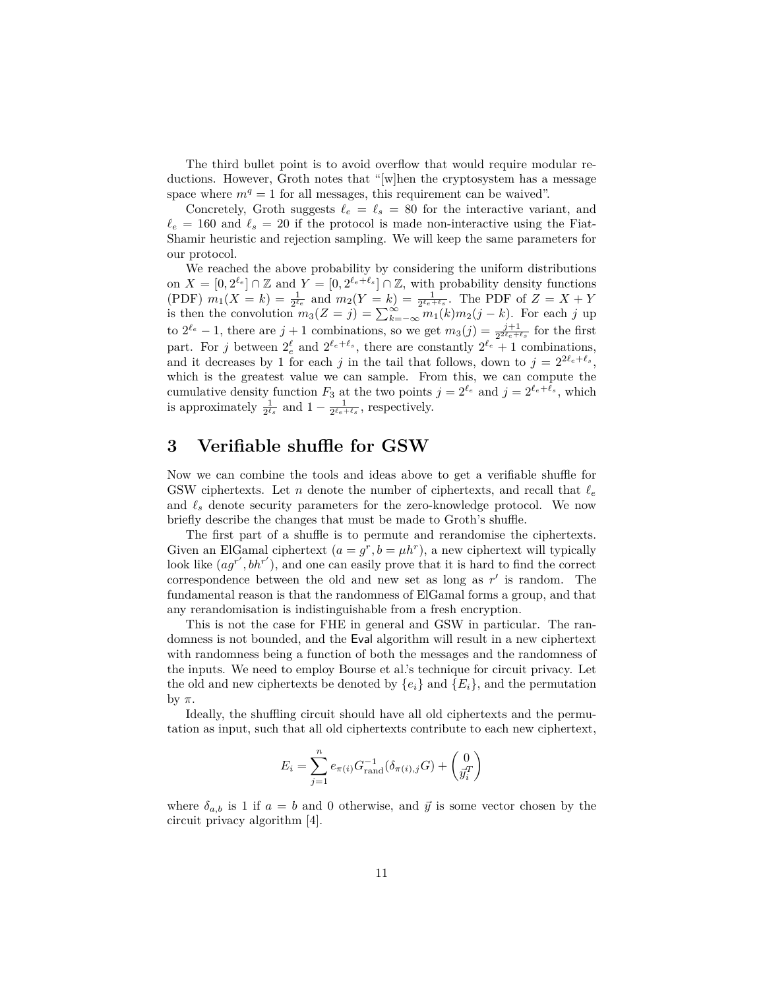The third bullet point is to avoid overflow that would require modular reductions. However, Groth notes that "[w]hen the cryptosystem has a message space where  $m<sup>q</sup> = 1$  for all messages, this requirement can be waived".

Concretely, Groth suggests  $\ell_e = \ell_s = 80$  for the interactive variant, and  $\ell_e = 160$  and  $\ell_s = 20$  if the protocol is made non-interactive using the Fiat-Shamir heuristic and rejection sampling. We will keep the same parameters for our protocol.

We reached the above probability by considering the uniform distributions on  $X = [0, 2^{\ell_e}] \cap \mathbb{Z}$  and  $Y = [0, 2^{\ell_e + \ell_s}] \cap \mathbb{Z}$ , with probability density functions (PDF)  $m_1(X = k) = \frac{1}{2^{\ell_e}}$  and  $m_2(Y = k) = \frac{1}{2^{\ell_e + \ell_s}}$ . The PDF of  $Z = X + Y$ is then the convolution  $m_3(Z = j) = \sum_{k=-\infty}^{\infty} \sum_{n=1}^{\infty} (k) m_2(j - k)$ . For each *j* up to  $2^{\ell_e} - 1$ , there are  $j + 1$  combinations, so we get  $m_3(j) = \frac{j+1}{2^{2\ell_e + \ell_s}}$  for the first part. For *j* between  $2^{\ell}$  and  $2^{\ell_e+\ell_s}$ , there are constantly  $2^{\ell_e} + 1$  combinations, and it decreases by 1 for each *j* in the tail that follows, down to  $j = 2^{2\ell_e + \ell_s}$ , which is the greatest value we can sample. From this, we can compute the cumulative density function  $F_3$  at the two points  $j = 2^{\ell_e}$  and  $j = 2^{\ell_e + \ell_s}$ , which is approximately  $\frac{1}{2^{\ell_s}}$  and  $1 - \frac{1}{2^{\ell_e + \ell_s}}$ , respectively.

## **3 Verifiable shuffle for GSW**

Now we can combine the tools and ideas above to get a verifiable shuffle for GSW ciphertexts. Let *n* denote the number of ciphertexts, and recall that  $\ell_e$ and  $\ell_s$  denote security parameters for the zero-knowledge protocol. We now briefly describe the changes that must be made to Groth's shuffle.

The first part of a shuffle is to permute and rerandomise the ciphertexts. Given an ElGamal ciphertext  $(a = g^r, b = \mu h^r)$ , a new ciphertext will typically look like  $(ag^{r'}, bh^{r'})$ , and one can easily prove that it is hard to find the correct correspondence between the old and new set as long as  $r'$  is random. The fundamental reason is that the randomness of ElGamal forms a group, and that any rerandomisation is indistinguishable from a fresh encryption.

This is not the case for FHE in general and GSW in particular. The randomness is not bounded, and the Eval algorithm will result in a new ciphertext with randomness being a function of both the messages and the randomness of the inputs. We need to employ Bourse et al.'s technique for circuit privacy. Let the old and new ciphertexts be denoted by  ${e_i}$  and  ${E_i}$ , and the permutation by *π*.

Ideally, the shuffling circuit should have all old ciphertexts and the permutation as input, such that all old ciphertexts contribute to each new ciphertext,

$$
E_i = \sum_{j=1}^{n} e_{\pi(i)} G_{\text{rand}}^{-1}(\delta_{\pi(i),j} G) + \begin{pmatrix} 0 \\ \bar{y}_i^T \end{pmatrix}
$$

where  $\delta_{a,b}$  is 1 if  $a = b$  and 0 otherwise, and  $\vec{y}$  is some vector chosen by the circuit privacy algorithm [4].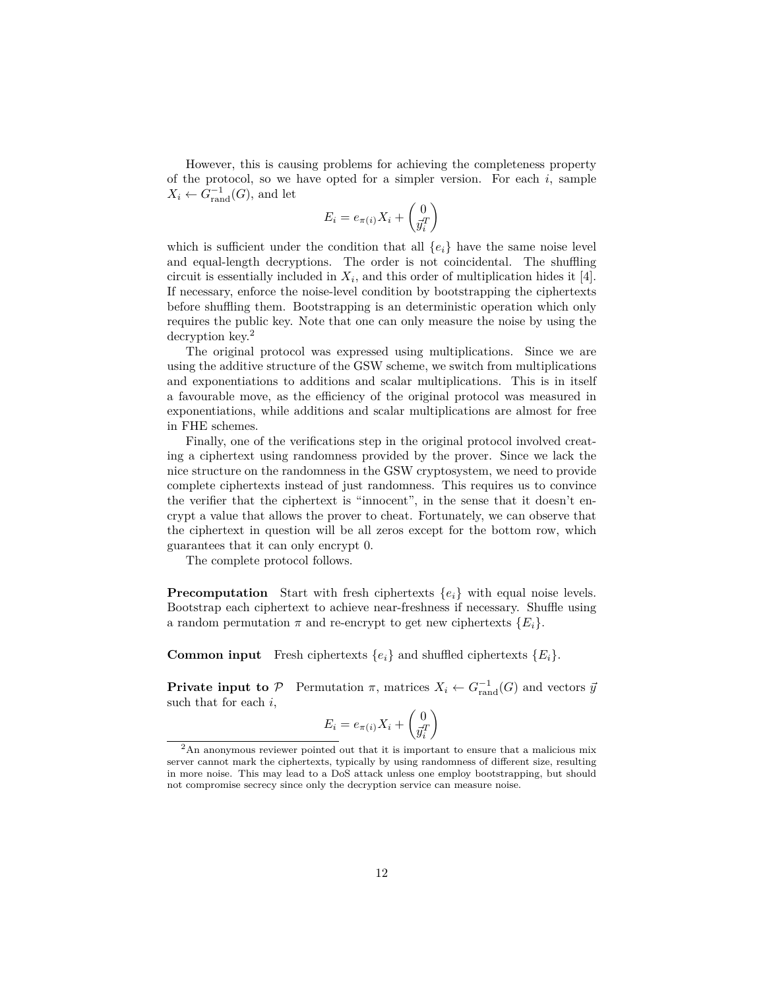However, this is causing problems for achieving the completeness property of the protocol, so we have opted for a simpler version. For each *i*, sample  $X_i \leftarrow G_{\text{rand}}^{-1}(G)$ , and let

$$
E_i = e_{\pi(i)} X_i + \begin{pmatrix} 0 \\ \vec{y}_i^T \end{pmatrix}
$$

which is sufficient under the condition that all  $\{e_i\}$  have the same noise level and equal-length decryptions. The order is not coincidental. The shuffling circuit is essentially included in  $X_i$ , and this order of multiplication hides it [4]. If necessary, enforce the noise-level condition by bootstrapping the ciphertexts before shuffling them. Bootstrapping is an deterministic operation which only requires the public key. Note that one can only measure the noise by using the decryption key.<sup>2</sup>

The original protocol was expressed using multiplications. Since we are using the additive structure of the GSW scheme, we switch from multiplications and exponentiations to additions and scalar multiplications. This is in itself a favourable move, as the efficiency of the original protocol was measured in exponentiations, while additions and scalar multiplications are almost for free in FHE schemes.

Finally, one of the verifications step in the original protocol involved creating a ciphertext using randomness provided by the prover. Since we lack the nice structure on the randomness in the GSW cryptosystem, we need to provide complete ciphertexts instead of just randomness. This requires us to convince the verifier that the ciphertext is "innocent", in the sense that it doesn't encrypt a value that allows the prover to cheat. Fortunately, we can observe that the ciphertext in question will be all zeros except for the bottom row, which guarantees that it can only encrypt 0.

The complete protocol follows.

**Precomputation** Start with fresh ciphertexts  ${e_i}$  with equal noise levels. Bootstrap each ciphertext to achieve near-freshness if necessary. Shuffle using a random permutation  $\pi$  and re-encrypt to get new ciphertexts  $\{E_i\}$ .

**Common input** Fresh ciphertexts  $\{e_i\}$  and shuffled ciphertexts  $\{E_i\}$ .

**Private input to**  $P$  Permutation  $\pi$ , matrices  $X_i \leftarrow G_{\text{rand}}^{-1}(G)$  and vectors  $\bar{y}$ such that for each *i*,

$$
E_i = e_{\pi(i)} X_i + \begin{pmatrix} 0 \\ \vec{y}_i^T \end{pmatrix}
$$

<sup>2</sup>An anonymous reviewer pointed out that it is important to ensure that a malicious mix server cannot mark the ciphertexts, typically by using randomness of different size, resulting in more noise. This may lead to a DoS attack unless one employ bootstrapping, but should not compromise secrecy since only the decryption service can measure noise.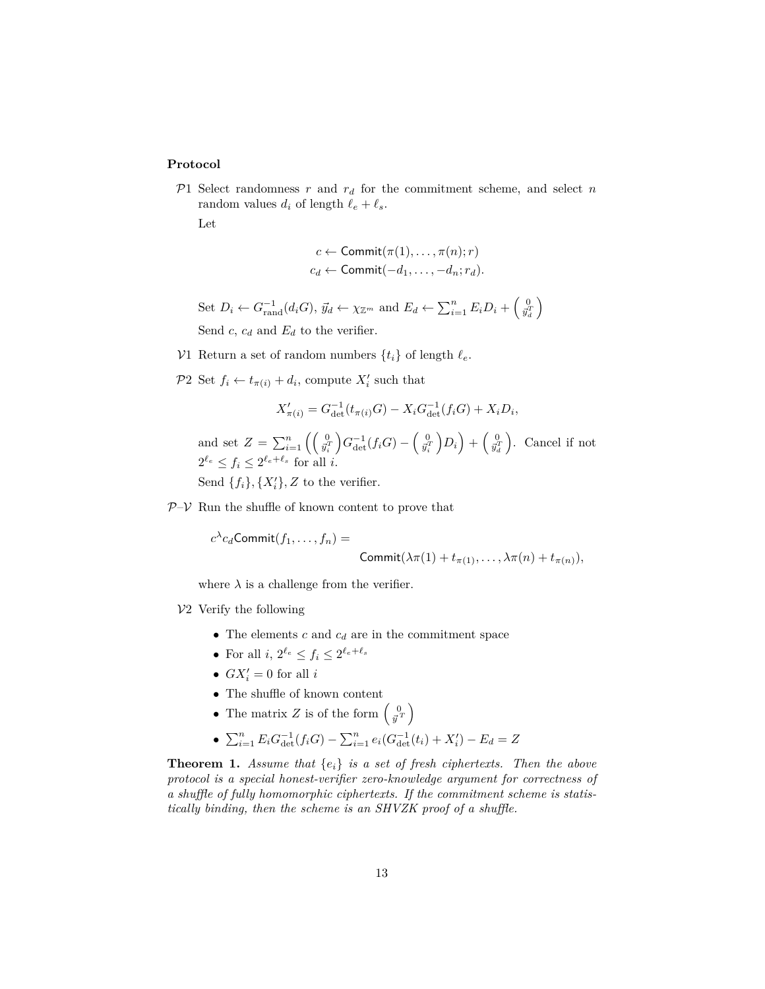#### **Protocol**

 $P1$  Select randomness  $r$  and  $r_d$  for the commitment scheme, and select  $n$ random values  $d_i$  of length  $\ell_e + \ell_s$ .

Let

$$
c \leftarrow \text{Commit}(\pi(1), \dots, \pi(n); r)
$$

$$
c_d \leftarrow \text{Commit}(-d_1, \dots, -d_n; r_d).
$$

Set  $D_i \leftarrow G_{\text{rand}}^{-1}(d_i G), \ \vec{y}_d \leftarrow \chi_{\mathbb{Z}^m}$  and  $E_d \leftarrow \sum_{i=1}^n E_i D_i + \begin{pmatrix} 0 \\ \vec{y}_d^T \end{pmatrix}$ Send *c*,  $c_d$  and  $E_d$  to the verifier.

- V1 Return a set of random numbers  $\{t_i\}$  of length  $\ell_e$ .
- $P2 \text{ Set } f_i \leftarrow t_{\pi(i)} + d_i, \text{ compute } X'_i \text{ such that}$

$$
X'_{\pi(i)} = G_{\det}^{-1}(t_{\pi(i)}G) - X_i G_{\det}^{-1}(f_i G) + X_i D_i,
$$

and set  $Z = \sum_{i=1}^{n} \left( \begin{pmatrix} 0 \\ \vec{y}_i^T \end{pmatrix} G_{\text{det}}^{-1}(f_i G) - \begin{pmatrix} 0 \\ \vec{y}_i^T \end{pmatrix} D_i \right) + \begin{pmatrix} 0 \\ \vec{y}_i^T \end{pmatrix}$ . Cancel if not  $2^{\ell_e} \le f_i \le 2^{\ell_e+\ell_s}$  for all *i*.

Send  $\{f_i\}$ ,  $\{X'_i\}$ , Z to the verifier.

 $P-V$  Run the shuffle of known content to prove that

 $c^{\lambda}c_d$ Commit $(f_1,\ldots,f_n)$  =

$$
\text{Commit}(\lambda \pi(1) + t_{\pi(1)}, \ldots, \lambda \pi(n) + t_{\pi(n)}),
$$

where  $\lambda$  is a challenge from the verifier.

#### $V2$  Verify the following

- The elements *c* and *c<sup>d</sup>* are in the commitment space
- For all  $i, 2^{\ell_e} \le f_i \le 2^{\ell_e + \ell_s}$
- $GX'_{i} = 0$  for all *i*
- $\bullet~$  The shuffle of known content
- The matrix *Z* is of the form  $\begin{pmatrix} 0 \\ \vec{y}^T \end{pmatrix}$

• 
$$
\sum_{i=1}^{n} E_i G_{\text{det}}^{-1}(f_i G) - \sum_{i=1}^{n} e_i (G_{\text{det}}^{-1}(t_i) + X_i') - E_d = Z
$$

**Theorem 1.** *Assume that*  ${e_i}$  *is a set of fresh ciphertexts. Then the above protocol is a special honest-verifier zero-knowledge argument for correctness of a shuffle of fully homomorphic ciphertexts. If the commitment scheme is statistically binding, then the scheme is an SHVZK proof of a shuffle.*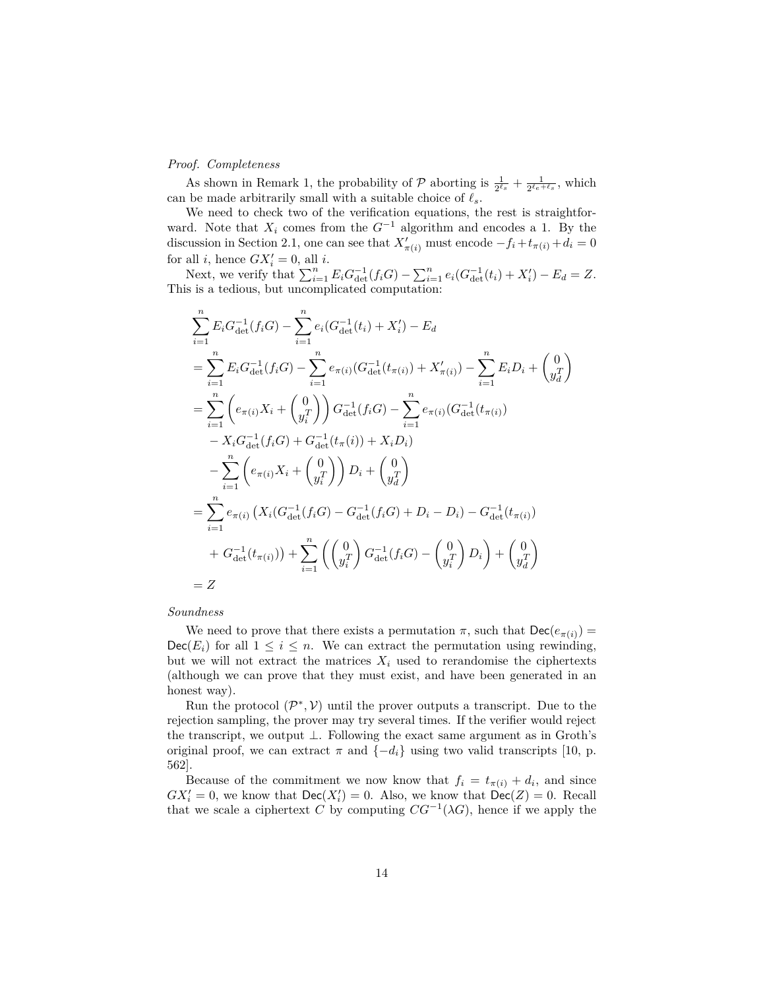#### *Proof. Completeness*

As shown in Remark 1, the probability of  $P$  aborting is  $\frac{1}{2^{\ell_s}} + \frac{1}{2^{\ell_e + \ell_s}}$ , which can be made arbitrarily small with a suitable choice of  $\ell_s.$ 

We need to check two of the verification equations, the rest is straightforward. Note that  $X_i$  comes from the  $G^{-1}$  algorithm and encodes a 1. By the discussion in Section 2.1, one can see that  $X'_{\pi(i)}$  must encode  $-f_i + t_{\pi(i)} + d_i = 0$ for all *i*, hence  $GX'_{i} = 0$ , all *i*.

Next, we verify that  $\sum_{i=1}^{n} E_i G_{\text{det}}^{-1}(f_i G) - \sum_{i=1}^{n} e_i (G_{\text{det}}^{-1}(t_i) + X'_i) - E_d = Z$ . This is a tedious, but uncomplicated computation:

$$
\sum_{i=1}^{n} E_i G_{\text{det}}^{-1}(f_i G) - \sum_{i=1}^{n} e_i (G_{\text{det}}^{-1}(t_i) + X_i') - E_d
$$
\n
$$
= \sum_{i=1}^{n} E_i G_{\text{det}}^{-1}(f_i G) - \sum_{i=1}^{n} e_{\pi(i)} (G_{\text{det}}^{-1}(t_{\pi(i)}) + X_{\pi(i)}') - \sum_{i=1}^{n} E_i D_i + \begin{pmatrix} 0 \\ y_i^T \end{pmatrix}
$$
\n
$$
= \sum_{i=1}^{n} \left( e_{\pi(i)} X_i + \begin{pmatrix} 0 \\ y_i^T \end{pmatrix} \right) G_{\text{det}}^{-1}(f_i G) - \sum_{i=1}^{n} e_{\pi(i)} (G_{\text{det}}^{-1}(t_{\pi(i)})
$$
\n
$$
- X_i G_{\text{det}}^{-1}(f_i G) + G_{\text{det}}^{-1}(t_{\pi}(i)) + X_i D_i)
$$
\n
$$
- \sum_{i=1}^{n} \left( e_{\pi(i)} X_i + \begin{pmatrix} 0 \\ y_i^T \end{pmatrix} \right) D_i + \begin{pmatrix} 0 \\ y_d^T \end{pmatrix}
$$
\n
$$
= \sum_{i=1}^{n} e_{\pi(i)} (X_i (G_{\text{det}}^{-1}(f_i G) - G_{\text{det}}^{-1}(f_i G) + D_i - D_i) - G_{\text{det}}^{-1}(t_{\pi(i)})
$$
\n
$$
+ G_{\text{det}}^{-1}(t_{\pi(i)}) + \sum_{i=1}^{n} \left( \begin{pmatrix} 0 \\ y_i^T \end{pmatrix} G_{\text{det}}^{-1}(f_i G) - \begin{pmatrix} 0 \\ y_i^T \end{pmatrix} D_i \right) + \begin{pmatrix} 0 \\ y_d^T \end{pmatrix}
$$
\n
$$
= Z
$$

#### *Soundness*

We need to prove that there exists a permutation  $\pi$ , such that  $\text{Dec}(e_{\pi(i)}) =$  $Dec(E_i)$  for all  $1 \leq i \leq n$ . We can extract the permutation using rewinding, but we will not extract the matrices  $X_i$  used to rerandomise the ciphertexts (although we can prove that they must exist, and have been generated in an honest way).

Run the protocol  $(\mathcal{P}^*, \mathcal{V})$  until the prover outputs a transcript. Due to the rejection sampling, the prover may try several times. If the verifier would reject the transcript, we output  $\bot$ . Following the exact same argument as in Groth's original proof, we can extract  $\pi$  and  $\{-d_i\}$  using two valid transcripts [10, p. 562].

Because of the commitment we now know that  $f_i = t_{\pi(i)} + d_i$ , and since  $GX'_{i} = 0$ , we know that  $Dec(X'_{i}) = 0$ . Also, we know that  $Dec(Z) = 0$ . Recall that we scale a ciphertext *C* by computing  $CG^{-1}(\lambda G)$ , hence if we apply the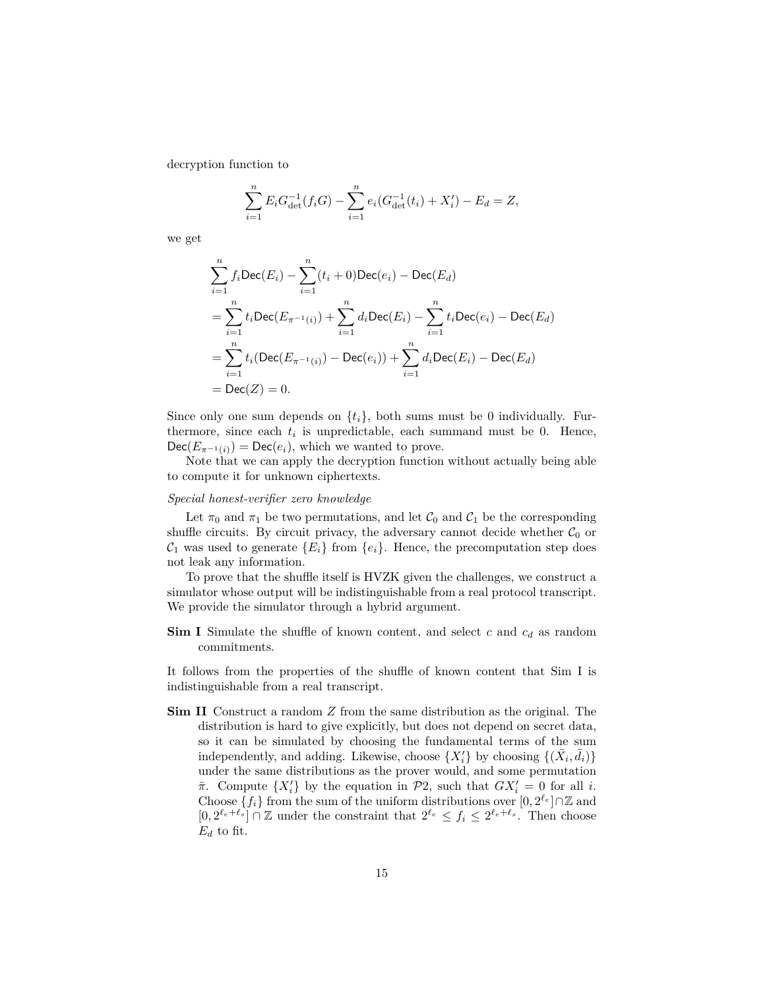decryption function to

$$
\sum_{i=1}^{n} E_i G_{\det}^{-1}(f_i G) - \sum_{i=1}^{n} e_i (G_{\det}^{-1}(t_i) + X'_i) - E_d = Z,
$$

we get

$$
\sum_{i=1}^{n} f_i \text{Dec}(E_i) - \sum_{i=1}^{n} (t_i + 0) \text{Dec}(e_i) - \text{Dec}(E_d)
$$
\n
$$
= \sum_{i=1}^{n} t_i \text{Dec}(E_{\pi^{-1}(i)}) + \sum_{i=1}^{n} d_i \text{Dec}(E_i) - \sum_{i=1}^{n} t_i \text{Dec}(e_i) - \text{Dec}(E_d)
$$
\n
$$
= \sum_{i=1}^{n} t_i (\text{Dec}(E_{\pi^{-1}(i)}) - \text{Dec}(e_i)) + \sum_{i=1}^{n} d_i \text{Dec}(E_i) - \text{Dec}(E_d)
$$
\n
$$
= \text{Dec}(Z) = 0.
$$

Since only one sum depends on  $\{t_i\}$ , both sums must be 0 individually. Furthermore, since each  $t_i$  is unpredictable, each summand must be 0. Hence,  $Dec(E_{\pi^{-1}(i)}) = Dec(e_i)$ , which we wanted to prove.

Note that we can apply the decryption function without actually being able to compute it for unknown ciphertexts.

#### *Special honest-verifier zero knowledge*

Let  $\pi_0$  and  $\pi_1$  be two permutations, and let  $\mathcal{C}_0$  and  $\mathcal{C}_1$  be the corresponding shuffle circuits. By circuit privacy, the adversary cannot decide whether  $\mathcal{C}_0$  or  $C_1$  was used to generate  $\{E_i\}$  from  $\{e_i\}$ . Hence, the precomputation step does not leak any information.

To prove that the shuffle itself is HVZK given the challenges, we construct a simulator whose output will be indistinguishable from a real protocol transcript. We provide the simulator through a hybrid argument.

**Sim I** Simulate the shuffle of known content, and select *c* and *c<sup>d</sup>* as random commitments.

It follows from the properties of the shuffle of known content that Sim I is indistinguishable from a real transcript.

**Sim II** Construct a random *Z* from the same distribution as the original. The distribution is hard to give explicitly, but does not depend on secret data, so it can be simulated by choosing the fundamental terms of the sum independently, and adding. Likewise, choose  $\{X_i'\}$  by choosing  $\{(\bar{X}_i, \bar{d}_i)\}$ under the same distributions as the prover would, and some permutation *π*. Compute  $\{X_i'\}$  by the equation in  $\mathcal{P}2$ , such that  $GX_i' = 0$  for all *i*. Choose  $\{f_i\}$  from the sum of the uniform distributions over  $[0, 2^{\ell_e}] \cap \mathbb{Z}$  and  $[0, 2^{\ell_e + \ell_s}] \cap \mathbb{Z}$  under the constraint that  $2^{\ell_e} \le f_i \le 2^{\ell_e + \ell_s}$ . Then choose  $E_d$  to fit.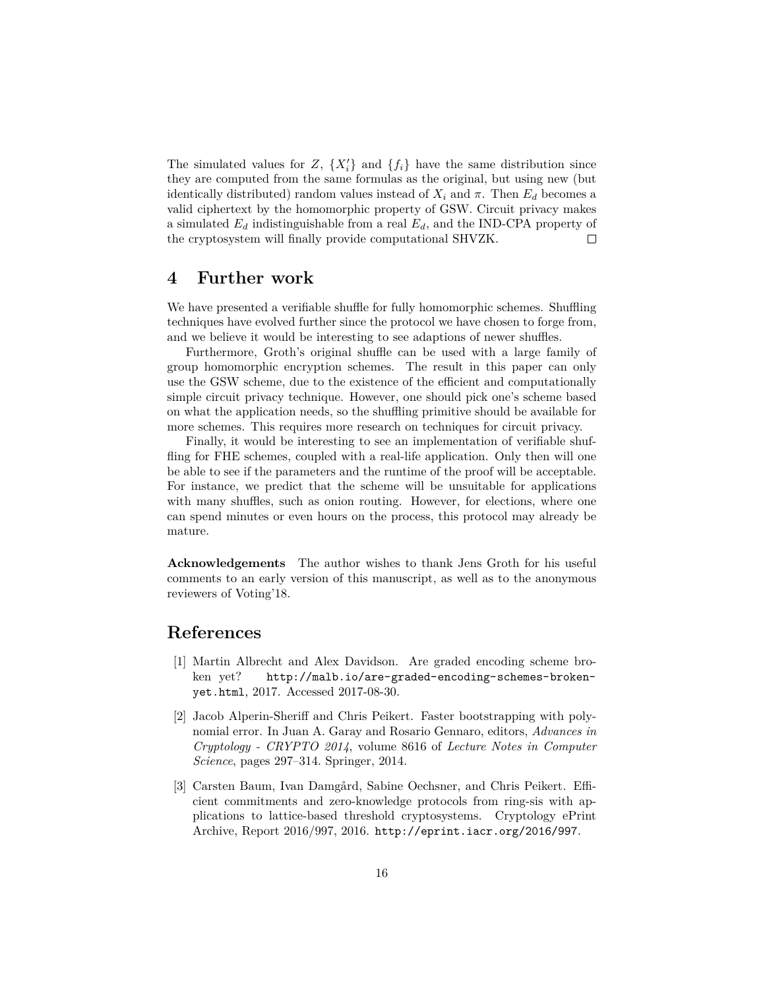The simulated values for  $Z$ ,  $\{X_i'\}$  and  $\{f_i\}$  have the same distribution since they are computed from the same formulas as the original, but using new (but identically distributed) random values instead of  $X_i$  and  $\pi$ . Then  $E_d$  becomes a valid ciphertext by the homomorphic property of GSW. Circuit privacy makes a simulated *E<sup>d</sup>* indistinguishable from a real *Ed*, and the IND-CPA property of the cryptosystem will finally provide computational SHVZK.  $\Box$ 

## **4 Further work**

We have presented a verifiable shuffle for fully homomorphic schemes. Shuffling techniques have evolved further since the protocol we have chosen to forge from, and we believe it would be interesting to see adaptions of newer shuffles.

Furthermore, Groth's original shuffle can be used with a large family of group homomorphic encryption schemes. The result in this paper can only use the GSW scheme, due to the existence of the efficient and computationally simple circuit privacy technique. However, one should pick one's scheme based on what the application needs, so the shuffling primitive should be available for more schemes. This requires more research on techniques for circuit privacy.

Finally, it would be interesting to see an implementation of verifiable shuffling for FHE schemes, coupled with a real-life application. Only then will one be able to see if the parameters and the runtime of the proof will be acceptable. For instance, we predict that the scheme will be unsuitable for applications with many shuffles, such as onion routing. However, for elections, where one can spend minutes or even hours on the process, this protocol may already be mature.

**Acknowledgements** The author wishes to thank Jens Groth for his useful comments to an early version of this manuscript, as well as to the anonymous reviewers of Voting'18.

## **References**

- [1] Martin Albrecht and Alex Davidson. Are graded encoding scheme broken yet? http://malb.io/are-graded-encoding-schemes-brokenyet.html, 2017. Accessed 2017-08-30.
- [2] Jacob Alperin-Sheriff and Chris Peikert. Faster bootstrapping with polynomial error. In Juan A. Garay and Rosario Gennaro, editors, *Advances in Cryptology - CRYPTO 2014*, volume 8616 of *Lecture Notes in Computer Science*, pages 297–314. Springer, 2014.
- [3] Carsten Baum, Ivan Damgård, Sabine Oechsner, and Chris Peikert. Efficient commitments and zero-knowledge protocols from ring-sis with applications to lattice-based threshold cryptosystems. Cryptology ePrint Archive, Report 2016/997, 2016. http://eprint.iacr.org/2016/997.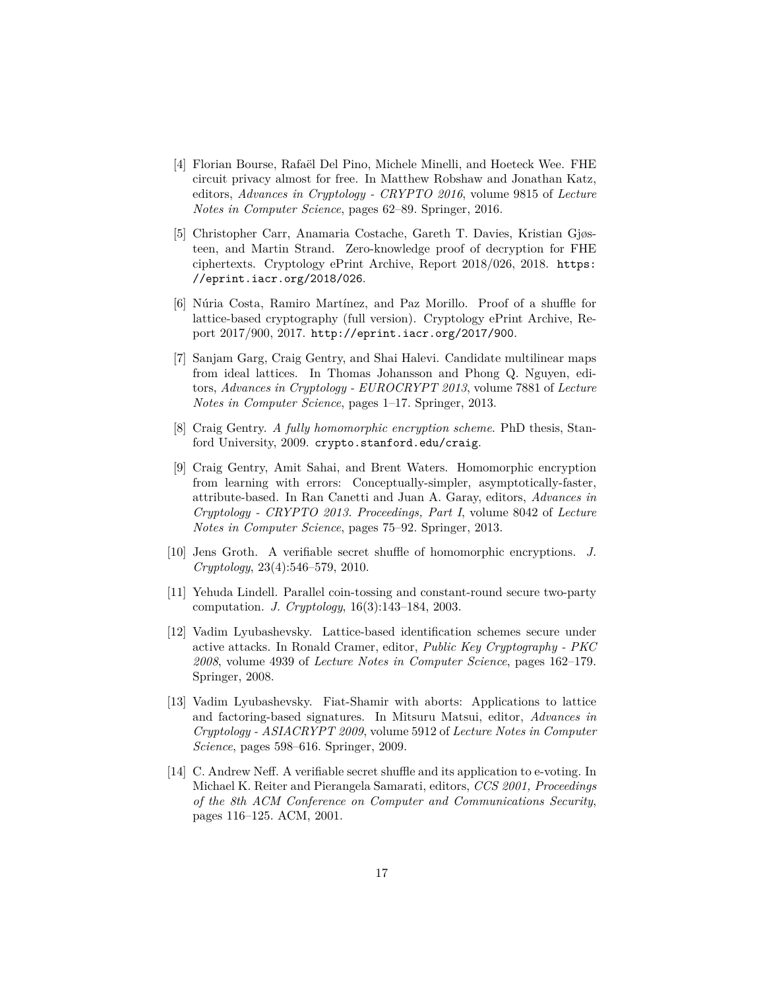- [4] Florian Bourse, Rafaël Del Pino, Michele Minelli, and Hoeteck Wee. FHE circuit privacy almost for free. In Matthew Robshaw and Jonathan Katz, editors, *Advances in Cryptology - CRYPTO 2016*, volume 9815 of *Lecture Notes in Computer Science*, pages 62–89. Springer, 2016.
- [5] Christopher Carr, Anamaria Costache, Gareth T. Davies, Kristian Gjøsteen, and Martin Strand. Zero-knowledge proof of decryption for FHE ciphertexts. Cryptology ePrint Archive, Report 2018/026, 2018. https: //eprint.iacr.org/2018/026.
- [6] Núria Costa, Ramiro Martínez, and Paz Morillo. Proof of a shuffle for lattice-based cryptography (full version). Cryptology ePrint Archive, Report 2017/900, 2017. http://eprint.iacr.org/2017/900.
- [7] Sanjam Garg, Craig Gentry, and Shai Halevi. Candidate multilinear maps from ideal lattices. In Thomas Johansson and Phong Q. Nguyen, editors, *Advances in Cryptology - EUROCRYPT 2013*, volume 7881 of *Lecture Notes in Computer Science*, pages 1–17. Springer, 2013.
- [8] Craig Gentry. *A fully homomorphic encryption scheme*. PhD thesis, Stanford University, 2009. crypto.stanford.edu/craig.
- [9] Craig Gentry, Amit Sahai, and Brent Waters. Homomorphic encryption from learning with errors: Conceptually-simpler, asymptotically-faster, attribute-based. In Ran Canetti and Juan A. Garay, editors, *Advances in Cryptology - CRYPTO 2013. Proceedings, Part I*, volume 8042 of *Lecture Notes in Computer Science*, pages 75–92. Springer, 2013.
- [10] Jens Groth. A verifiable secret shuffle of homomorphic encryptions. *J. Cryptology*, 23(4):546–579, 2010.
- [11] Yehuda Lindell. Parallel coin-tossing and constant-round secure two-party computation. *J. Cryptology*, 16(3):143–184, 2003.
- [12] Vadim Lyubashevsky. Lattice-based identification schemes secure under active attacks. In Ronald Cramer, editor, *Public Key Cryptography - PKC 2008*, volume 4939 of *Lecture Notes in Computer Science*, pages 162–179. Springer, 2008.
- [13] Vadim Lyubashevsky. Fiat-Shamir with aborts: Applications to lattice and factoring-based signatures. In Mitsuru Matsui, editor, *Advances in Cryptology - ASIACRYPT 2009*, volume 5912 of *Lecture Notes in Computer Science*, pages 598–616. Springer, 2009.
- [14] C. Andrew Neff. A verifiable secret shuffle and its application to e-voting. In Michael K. Reiter and Pierangela Samarati, editors, *CCS 2001, Proceedings of the 8th ACM Conference on Computer and Communications Security*, pages 116–125. ACM, 2001.